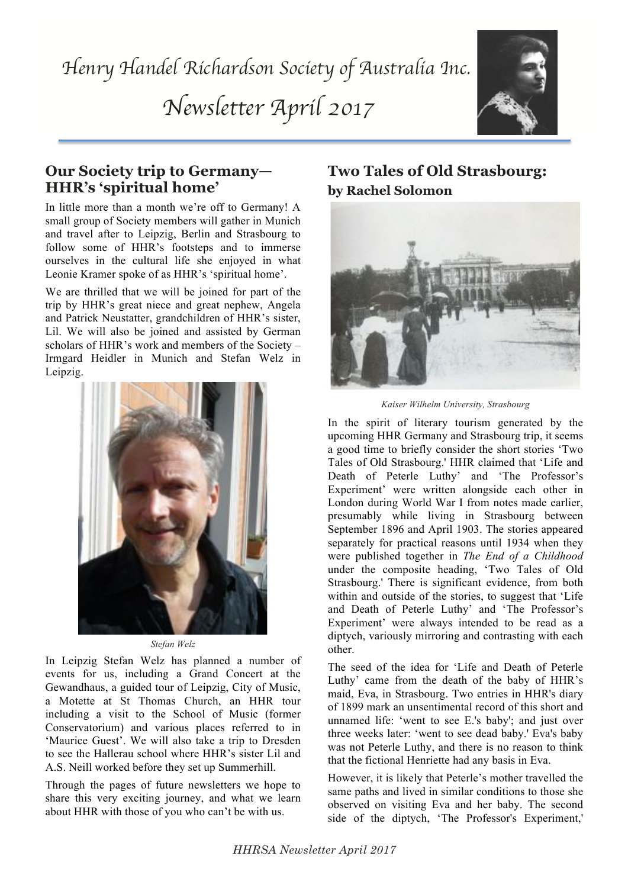*Newsletter April 2017*



#### **Our Society trip to Germany— HHR's 'spiritual home'**

small group of Society members will gather in Munich In little more than a month we're off to Germany! A and travel after to Leipzig, Berlin and Strasbourg to follow some of HHR's footsteps and to immerse ourselves in the cultural life she enjoyed in what Leonie Kramer spoke of as HHR's 'spiritual home'.

We are thrilled that we will be joined for part of the trip by HHR's great niece and great nephew, Angela and Patrick Neustatter, grandchildren of HHR's sister, Lil. We will also be joined and assisted by German scholars of HHR's work and members of the Society – Irmgard Heidler in Munich and Stefan Welz in Leipzig.



*Stefan Welz*

In Leipzig Stefan Welz has planned a number of events for us, including a Grand Concert at the Gewandhaus, a guided tour of Leipzig, City of Music, a Motette at St Thomas Church, an HHR tour including a visit to the School of Music (former Conservatorium) and various places referred to in 'Maurice Guest'. We will also take a trip to Dresden to see the Hallerau school where HHR's sister Lil and A.S. Neill worked before they set up Summerhill.

Through the pages of future newsletters we hope to share this very exciting journey, and what we learn about HHR with those of you who can't be with us.

# **Two Tales of Old Strasbourg: by Rachel Solomon**



*Kaiser Wilhelm University, Strasbourg*

In the spirit of literary tourism generated by the upcoming HHR Germany and Strasbourg trip, it seems a good time to briefly consider the short stories 'Two Tales of Old Strasbourg.' HHR claimed that 'Life and Death of Peterle Luthy' and 'The Professor's Experiment' were written alongside each other in London during World War I from notes made earlier, presumably while living in Strasbourg between September 1896 and April 1903. The stories appeared separately for practical reasons until 1934 when they were published together in *The End of a Childhood* under the composite heading, 'Two Tales of Old Strasbourg.' There is significant evidence, from both within and outside of the stories, to suggest that 'Life and Death of Peterle Luthy' and 'The Professor's Experiment' were always intended to be read as a diptych, variously mirroring and contrasting with each other.

The seed of the idea for 'Life and Death of Peterle Luthy' came from the death of the baby of HHR's maid, Eva, in Strasbourg. Two entries in HHR's diary of 1899 mark an unsentimental record of this short and unnamed life: 'went to see E.'s baby'; and just over three weeks later: 'went to see dead baby.' Eva's baby was not Peterle Luthy, and there is no reason to think that the fictional Henriette had any basis in Eva.

However, it is likely that Peterle's mother travelled the same paths and lived in similar conditions to those she observed on visiting Eva and her baby. The second side of the diptych, 'The Professor's Experiment,'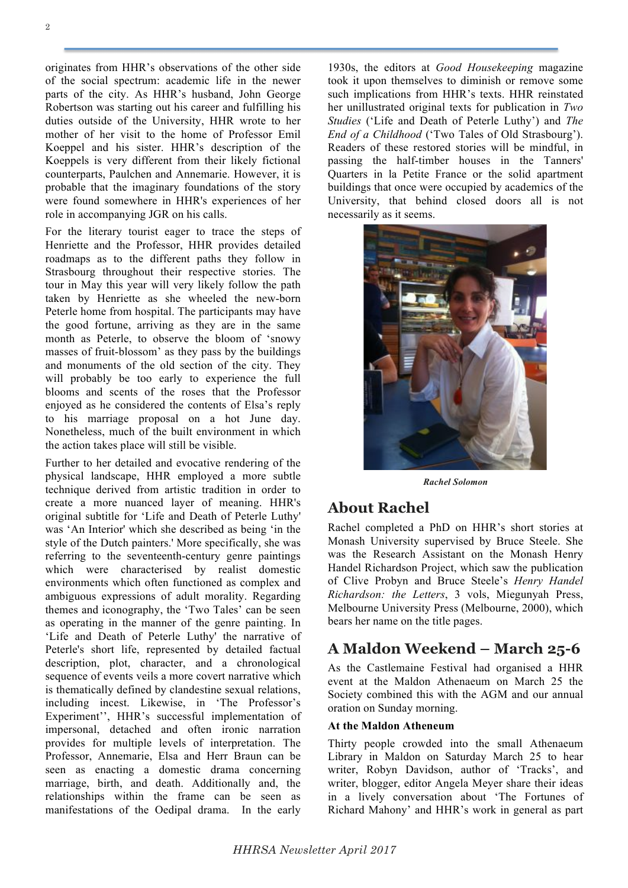originates from HHR's observations of the other side of the social spectrum: academic life in the newer parts of the city. As HHR's husband, John George Robertson was starting out his career and fulfilling his duties outside of the University, HHR wrote to her mother of her visit to the home of Professor Emil Koeppel and his sister. HHR's description of the Koeppels is very different from their likely fictional counterparts, Paulchen and Annemarie. However, it is probable that the imaginary foundations of the story were found somewhere in HHR's experiences of her role in accompanying JGR on his calls.

For the literary tourist eager to trace the steps of Henriette and the Professor, HHR provides detailed roadmaps as to the different paths they follow in Strasbourg throughout their respective stories. The tour in May this year will very likely follow the path taken by Henriette as she wheeled the new-born Peterle home from hospital. The participants may have the good fortune, arriving as they are in the same month as Peterle, to observe the bloom of 'snowy masses of fruit-blossom' as they pass by the buildings and monuments of the old section of the city. They will probably be too early to experience the full blooms and scents of the roses that the Professor enjoyed as he considered the contents of Elsa's reply to his marriage proposal on a hot June day. Nonetheless, much of the built environment in which the action takes place will still be visible.

Further to her detailed and evocative rendering of the physical landscape, HHR employed a more subtle technique derived from artistic tradition in order to create a more nuanced layer of meaning. HHR's original subtitle for 'Life and Death of Peterle Luthy' was 'An Interior' which she described as being 'in the style of the Dutch painters.' More specifically, she was referring to the seventeenth-century genre paintings which were characterised by realist domestic environments which often functioned as complex and ambiguous expressions of adult morality. Regarding themes and iconography, the 'Two Tales' can be seen as operating in the manner of the genre painting. In 'Life and Death of Peterle Luthy' the narrative of Peterle's short life, represented by detailed factual description, plot, character, and a chronological sequence of events veils a more covert narrative which is thematically defined by clandestine sexual relations, including incest. Likewise, in 'The Professor's Experiment'', HHR's successful implementation of impersonal, detached and often ironic narration provides for multiple levels of interpretation. The Professor, Annemarie, Elsa and Herr Braun can be seen as enacting a domestic drama concerning marriage, birth, and death. Additionally and, the relationships within the frame can be seen as manifestations of the Oedipal drama. In the early

1930s, the editors at *Good Housekeeping* magazine took it upon themselves to diminish or remove some such implications from HHR's texts. HHR reinstated her unillustrated original texts for publication in *Two Studies* ('Life and Death of Peterle Luthy') and *The End of a Childhood* ('Two Tales of Old Strasbourg'). Readers of these restored stories will be mindful, in passing the half-timber houses in the Tanners' Quarters in la Petite France or the solid apartment buildings that once were occupied by academics of the University, that behind closed doors all is not necessarily as it seems.



*Rachel Solomon*

#### **About Rachel**

Rachel completed a PhD on HHR's short stories at Monash University supervised by Bruce Steele. She was the Research Assistant on the Monash Henry Handel Richardson Project, which saw the publication of Clive Probyn and Bruce Steele's *Henry Handel Richardson: the Letters*, 3 vols, Miegunyah Press, Melbourne University Press (Melbourne, 2000), which bears her name on the title pages.

#### **A Maldon Weekend – March 25-6**

As the Castlemaine Festival had organised a HHR event at the Maldon Athenaeum on March 25 the Society combined this with the AGM and our annual oration on Sunday morning.

#### **At the Maldon Atheneum**

Thirty people crowded into the small Athenaeum Library in Maldon on Saturday March 25 to hear writer, Robyn Davidson, author of 'Tracks', and writer, blogger, editor Angela Meyer share their ideas in a lively conversation about 'The Fortunes of Richard Mahony' and HHR's work in general as part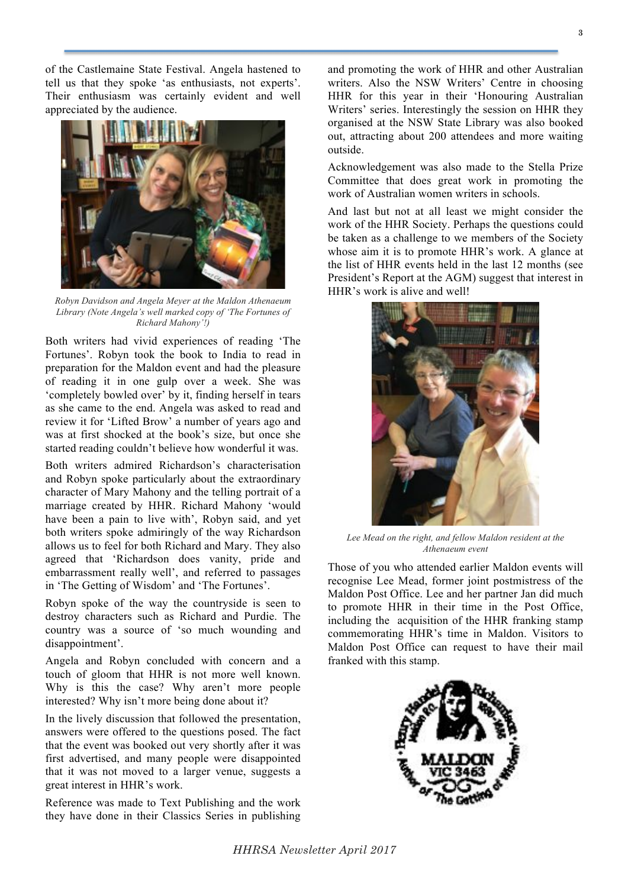of the Castlemaine State Festival. Angela hastened to tell us that they spoke 'as enthusiasts, not experts'. Their enthusiasm was certainly evident and well appreciated by the audience.



*Robyn Davidson and Angela Meyer at the Maldon Athenaeum Library (Note Angela's well marked copy of 'The Fortunes of Richard Mahony'!)*

Both writers had vivid experiences of reading 'The Fortunes'. Robyn took the book to India to read in preparation for the Maldon event and had the pleasure of reading it in one gulp over a week. She was 'completely bowled over' by it, finding herself in tears as she came to the end. Angela was asked to read and review it for 'Lifted Brow' a number of years ago and was at first shocked at the book's size, but once she started reading couldn't believe how wonderful it was.

Both writers admired Richardson's characterisation and Robyn spoke particularly about the extraordinary character of Mary Mahony and the telling portrait of a marriage created by HHR. Richard Mahony 'would have been a pain to live with', Robyn said, and yet both writers spoke admiringly of the way Richardson allows us to feel for both Richard and Mary. They also agreed that 'Richardson does vanity, pride and embarrassment really well', and referred to passages in 'The Getting of Wisdom' and 'The Fortunes'.

Robyn spoke of the way the countryside is seen to destroy characters such as Richard and Purdie. The country was a source of 'so much wounding and disappointment'.

Angela and Robyn concluded with concern and a touch of gloom that HHR is not more well known. Why is this the case? Why aren't more people interested? Why isn't more being done about it?

In the lively discussion that followed the presentation, answers were offered to the questions posed. The fact that the event was booked out very shortly after it was first advertised, and many people were disappointed that it was not moved to a larger venue, suggests a great interest in HHR's work.

Reference was made to Text Publishing and the work they have done in their Classics Series in publishing

and promoting the work of HHR and other Australian writers. Also the NSW Writers' Centre in choosing HHR for this year in their 'Honouring Australian Writers' series. Interestingly the session on HHR they organised at the NSW State Library was also booked out, attracting about 200 attendees and more waiting outside.

Acknowledgement was also made to the Stella Prize Committee that does great work in promoting the work of Australian women writers in schools.

And last but not at all least we might consider the work of the HHR Society. Perhaps the questions could be taken as a challenge to we members of the Society whose aim it is to promote HHR's work. A glance at the list of HHR events held in the last 12 months (see President's Report at the AGM) suggest that interest in HHR's work is alive and well!



*Lee Mead on the right, and fellow Maldon resident at the Athenaeum event*

Those of you who attended earlier Maldon events will recognise Lee Mead, former joint postmistress of the Maldon Post Office. Lee and her partner Jan did much to promote HHR in their time in the Post Office, including the acquisition of the HHR franking stamp commemorating HHR's time in Maldon. Visitors to Maldon Post Office can request to have their mail franked with this stamp.

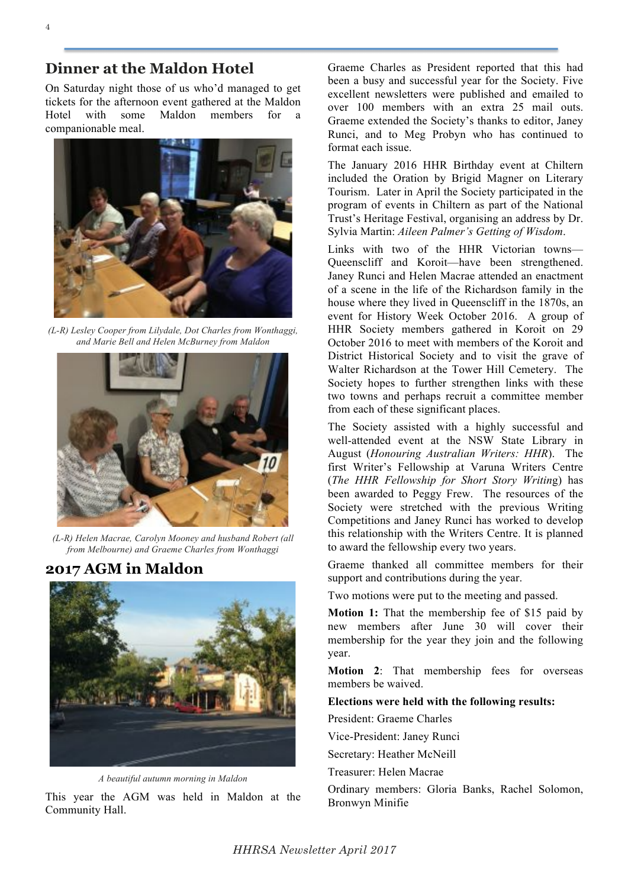#### **Dinner at the Maldon Hotel**

On Saturday night those of us who'd managed to get tickets for the afternoon event gathered at the Maldon Hotel with some Maldon members for a companionable meal.



*(L-R) Lesley Cooper from Lilydale, Dot Charles from Wonthaggi, and Marie Bell and Helen McBurney from Maldon*



*(L-R) Helen Macrae, Carolyn Mooney and husband Robert (all from Melbourne) and Graeme Charles from Wonthaggi*

## **2017 AGM in Maldon**



*A beautiful autumn morning in Maldon*

This year the AGM was held in Maldon at the Community Hall.

Graeme Charles as President reported that this had been a busy and successful year for the Society. Five excellent newsletters were published and emailed to over 100 members with an extra 25 mail outs. Graeme extended the Society's thanks to editor, Janey Runci, and to Meg Probyn who has continued to format each issue.

The January 2016 HHR Birthday event at Chiltern included the Oration by Brigid Magner on Literary Tourism. Later in April the Society participated in the program of events in Chiltern as part of the National Trust's Heritage Festival, organising an address by Dr. Sylvia Martin: *Aileen Palmer's Getting of Wisdom*.

Links with two of the HHR Victorian towns— Queenscliff and Koroit—have been strengthened. Janey Runci and Helen Macrae attended an enactment of a scene in the life of the Richardson family in the house where they lived in Queenscliff in the 1870s, an event for History Week October 2016. A group of HHR Society members gathered in Koroit on 29 October 2016 to meet with members of the Koroit and District Historical Society and to visit the grave of Walter Richardson at the Tower Hill Cemetery. The Society hopes to further strengthen links with these two towns and perhaps recruit a committee member from each of these significant places.

The Society assisted with a highly successful and well-attended event at the NSW State Library in August (*Honouring Australian Writers: HHR*). The first Writer's Fellowship at Varuna Writers Centre (*The HHR Fellowship for Short Story Writin*g) has been awarded to Peggy Frew. The resources of the Society were stretched with the previous Writing Competitions and Janey Runci has worked to develop this relationship with the Writers Centre. It is planned to award the fellowship every two years.

Graeme thanked all committee members for their support and contributions during the year.

Two motions were put to the meeting and passed.

**Motion 1:** That the membership fee of \$15 paid by new members after June 30 will cover their membership for the year they join and the following year.

**Motion 2**: That membership fees for overseas members be waived.

**Elections were held with the following results:**

President: Graeme Charles

Vice-President: Janey Runci

Secretary: Heather McNeill

Treasurer: Helen Macrae

Ordinary members: Gloria Banks, Rachel Solomon, Bronwyn Minifie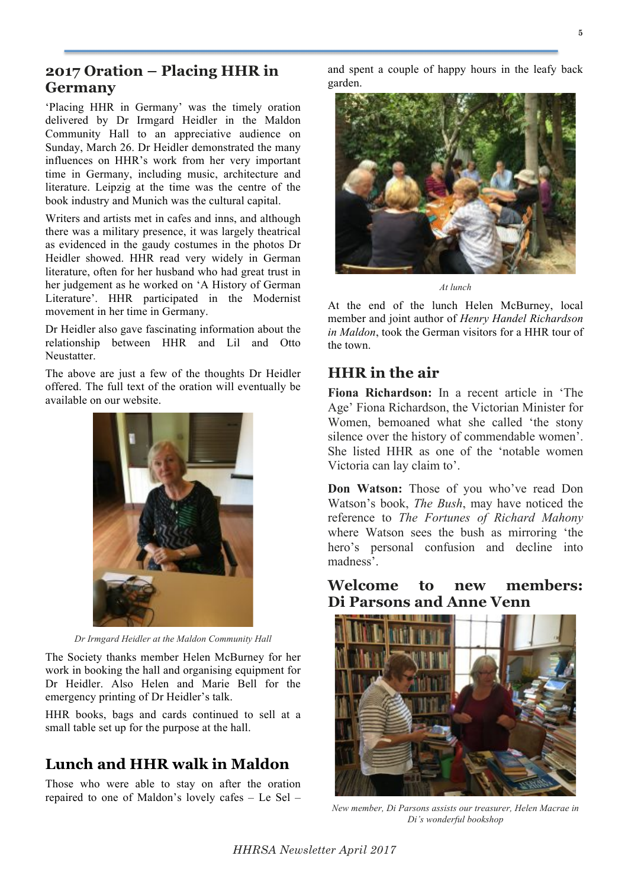## **2017 Oration – Placing HHR in Germany**

'Placing HHR in Germany' was the timely oration delivered by Dr Irmgard Heidler in the Maldon Community Hall to an appreciative audience on Sunday, March 26. Dr Heidler demonstrated the many influences on HHR's work from her very important time in Germany, including music, architecture and literature. Leipzig at the time was the centre of the book industry and Munich was the cultural capital.

Writers and artists met in cafes and inns, and although there was a military presence, it was largely theatrical as evidenced in the gaudy costumes in the photos Dr Heidler showed. HHR read very widely in German literature, often for her husband who had great trust in her judgement as he worked on 'A History of German Literature'. HHR participated in the Modernist movement in her time in Germany.

Dr Heidler also gave fascinating information about the relationship between HHR and Lil and Otto Neustatter.

The above are just a few of the thoughts Dr Heidler offered. The full text of the oration will eventually be available on our website.

*Dr Irmgard Heidler at the Maldon Community Hall*

The Society thanks member Helen McBurney for her work in booking the hall and organising equipment for Dr Heidler. Also Helen and Marie Bell for the emergency printing of Dr Heidler's talk.

HHR books, bags and cards continued to sell at a small table set up for the purpose at the hall.

# **Lunch and HHR walk in Maldon**

Those who were able to stay on after the oration repaired to one of Maldon's lovely cafes – Le Sel –

and spent a couple of happy hours in the leafy back garden.



*At lunch*

At the end of the lunch Helen McBurney, local member and joint author of *Henry Handel Richardson in Maldon*, took the German visitors for a HHR tour of the town.

#### **HHR in the air**

**Fiona Richardson:** In a recent article in 'The Age' Fiona Richardson, the Victorian Minister for Women, bemoaned what she called 'the stony silence over the history of commendable women'. She listed HHR as one of the 'notable women Victoria can lay claim to'.

**Don Watson:** Those of you who've read Don Watson's book, *The Bush*, may have noticed the reference to *The Fortunes of Richard Mahony* where Watson sees the bush as mirroring 'the hero's personal confusion and decline into madness'.

#### **Welcome to new members: Di Parsons and Anne Venn**



*New member, Di Parsons assists our treasurer, Helen Macrae in Di's wonderful bookshop*